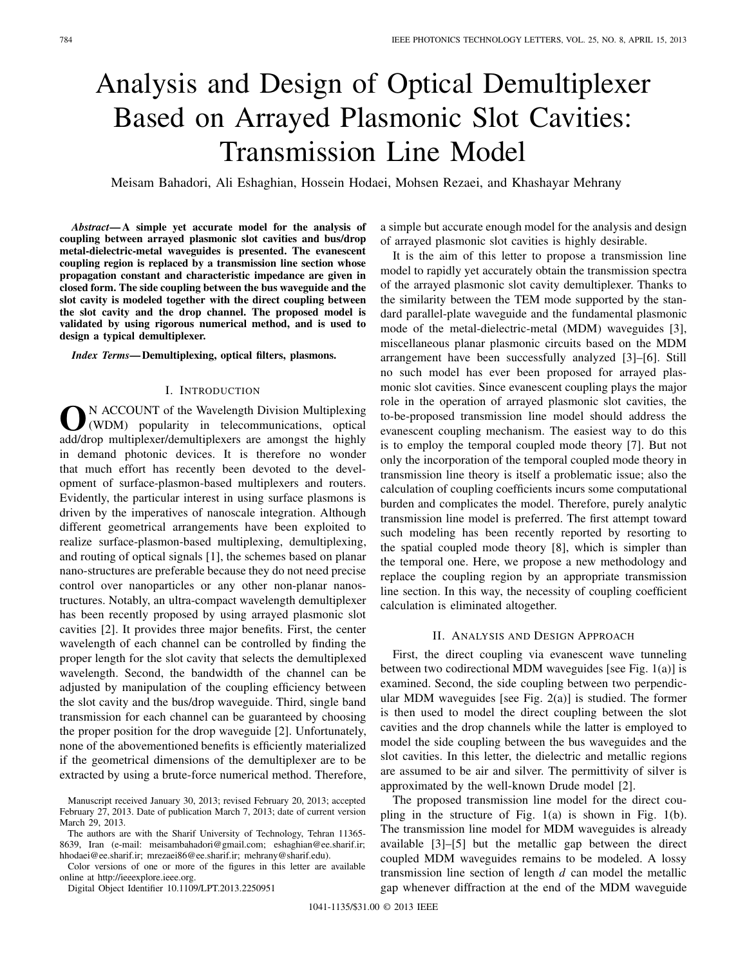# Analysis and Design of Optical Demultiplexer Based on Arrayed Plasmonic Slot Cavities: Transmission Line Model

Meisam Bahadori, Ali Eshaghian, Hossein Hodaei, Mohsen Rezaei, and Khashayar Mehrany

*Abstract***— A simple yet accurate model for the analysis of coupling between arrayed plasmonic slot cavities and bus/drop metal-dielectric-metal waveguides is presented. The evanescent coupling region is replaced by a transmission line section whose propagation constant and characteristic impedance are given in closed form. The side coupling between the bus waveguide and the slot cavity is modeled together with the direct coupling between the slot cavity and the drop channel. The proposed model is validated by using rigorous numerical method, and is used to design a typical demultiplexer.**

#### *Index Terms***— Demultiplexing, optical filters, plasmons.**

### I. INTRODUCTION

**O**N ACCOUNT of the Wavelength Division Multiplexing<br>
(WDM) popularity in telecommunications, optical add/drop multiplexer/demultiplexers are amongst the highly in demand photonic devices. It is therefore no wonder that much effort has recently been devoted to the development of surface-plasmon-based multiplexers and routers. Evidently, the particular interest in using surface plasmons is driven by the imperatives of nanoscale integration. Although different geometrical arrangements have been exploited to realize surface-plasmon-based multiplexing, demultiplexing, and routing of optical signals [1], the schemes based on planar nano-structures are preferable because they do not need precise control over nanoparticles or any other non-planar nanostructures. Notably, an ultra-compact wavelength demultiplexer has been recently proposed by using arrayed plasmonic slot cavities [2]. It provides three major benefits. First, the center wavelength of each channel can be controlled by finding the proper length for the slot cavity that selects the demultiplexed wavelength. Second, the bandwidth of the channel can be adjusted by manipulation of the coupling efficiency between the slot cavity and the bus/drop waveguide. Third, single band transmission for each channel can be guaranteed by choosing the proper position for the drop waveguide [2]. Unfortunately, none of the abovementioned benefits is efficiently materialized if the geometrical dimensions of the demultiplexer are to be extracted by using a brute-force numerical method. Therefore,

Color versions of one or more of the figures in this letter are available online at http://ieeexplore.ieee.org.

Digital Object Identifier 10.1109/LPT.2013.2250951

a simple but accurate enough model for the analysis and design of arrayed plasmonic slot cavities is highly desirable.

It is the aim of this letter to propose a transmission line model to rapidly yet accurately obtain the transmission spectra of the arrayed plasmonic slot cavity demultiplexer. Thanks to the similarity between the TEM mode supported by the standard parallel-plate waveguide and the fundamental plasmonic mode of the metal-dielectric-metal (MDM) waveguides [3], miscellaneous planar plasmonic circuits based on the MDM arrangement have been successfully analyzed [3]–[6]. Still no such model has ever been proposed for arrayed plasmonic slot cavities. Since evanescent coupling plays the major role in the operation of arrayed plasmonic slot cavities, the to-be-proposed transmission line model should address the evanescent coupling mechanism. The easiest way to do this is to employ the temporal coupled mode theory [7]. But not only the incorporation of the temporal coupled mode theory in transmission line theory is itself a problematic issue; also the calculation of coupling coefficients incurs some computational burden and complicates the model. Therefore, purely analytic transmission line model is preferred. The first attempt toward such modeling has been recently reported by resorting to the spatial coupled mode theory [8], which is simpler than the temporal one. Here, we propose a new methodology and replace the coupling region by an appropriate transmission line section. In this way, the necessity of coupling coefficient calculation is eliminated altogether.

## II. ANALYSIS AND DESIGN APPROACH

First, the direct coupling via evanescent wave tunneling between two codirectional MDM waveguides [see Fig. 1(a)] is examined. Second, the side coupling between two perpendicular MDM waveguides [see Fig. 2(a)] is studied. The former is then used to model the direct coupling between the slot cavities and the drop channels while the latter is employed to model the side coupling between the bus waveguides and the slot cavities. In this letter, the dielectric and metallic regions are assumed to be air and silver. The permittivity of silver is approximated by the well-known Drude model [2].

The proposed transmission line model for the direct coupling in the structure of Fig. 1(a) is shown in Fig. 1(b). The transmission line model for MDM waveguides is already available [3]–[5] but the metallic gap between the direct coupled MDM waveguides remains to be modeled. A lossy transmission line section of length *d* can model the metallic gap whenever diffraction at the end of the MDM waveguide

Manuscript received January 30, 2013; revised February 20, 2013; accepted February 27, 2013. Date of publication March 7, 2013; date of current version March 29, 2013.

The authors are with the Sharif University of Technology, Tehran 11365- 8639, Iran (e-mail: meisambahadori@gmail.com; eshaghian@ee.sharif.ir; hhodaei@ee.sharif.ir; mrezaei86@ee.sharif.ir; mehrany@sharif.edu).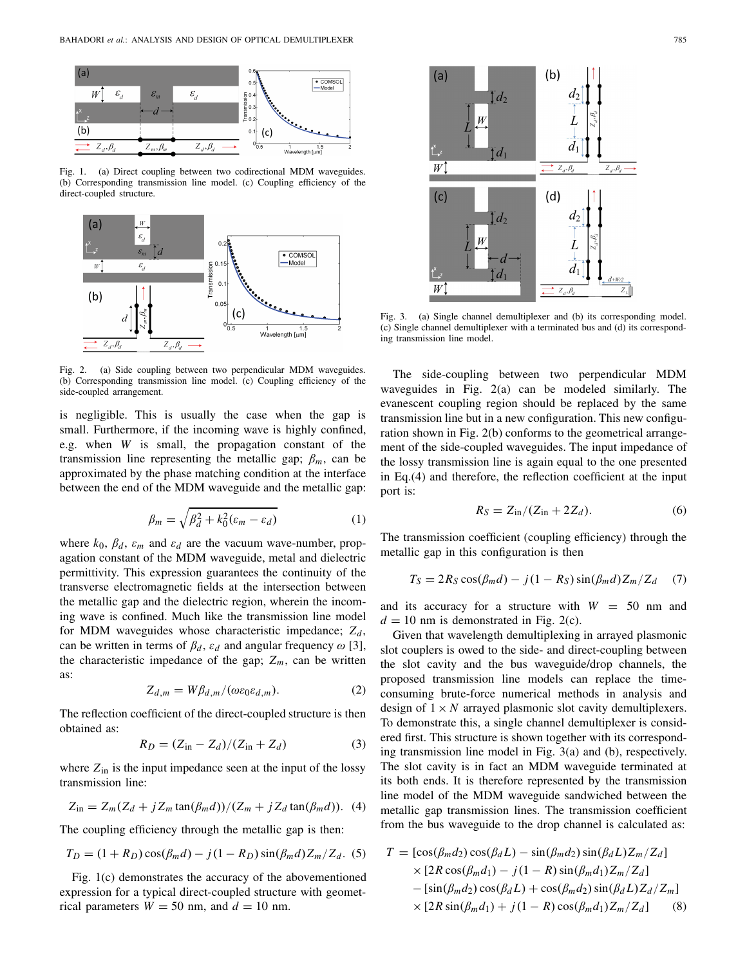

Fig. 1. (a) Direct coupling between two codirectional MDM waveguides. (b) Corresponding transmission line model. (c) Coupling efficiency of the direct-coupled structure.



Fig. 2. (a) Side coupling between two perpendicular MDM waveguides. (b) Corresponding transmission line model. (c) Coupling efficiency of the side-coupled arrangement.

is negligible. This is usually the case when the gap is small. Furthermore, if the incoming wave is highly confined, e.g. when *W* is small, the propagation constant of the transmission line representing the metallic gap;  $\beta_m$ , can be approximated by the phase matching condition at the interface between the end of the MDM waveguide and the metallic gap:

$$
\beta_m = \sqrt{\beta_d^2 + k_0^2(\varepsilon_m - \varepsilon_d)}\tag{1}
$$

where  $k_0$ ,  $\beta_d$ ,  $\varepsilon_m$  and  $\varepsilon_d$  are the vacuum wave-number, propagation constant of the MDM waveguide, metal and dielectric permittivity. This expression guarantees the continuity of the transverse electromagnetic fields at the intersection between the metallic gap and the dielectric region, wherein the incoming wave is confined. Much like the transmission line model for MDM waveguides whose characteristic impedance;  $Z_d$ , can be written in terms of  $\beta_d$ ,  $\varepsilon_d$  and angular frequency  $\omega$  [3], the characteristic impedance of the gap;  $Z_m$ , can be written as:

$$
Z_{d,m} = W\beta_{d,m}/(\omega \varepsilon_0 \varepsilon_{d,m}).
$$
\n(2)

The reflection coefficient of the direct-coupled structure is then obtained as:

$$
R_D = (Z_{\rm in} - Z_d)/(Z_{\rm in} + Z_d)
$$
 (3)

where  $Z_{\text{in}}$  is the input impedance seen at the input of the lossy transmission line:

$$
Z_{\rm in} = Z_m (Z_d + j Z_m \tan(\beta_m d))/(Z_m + j Z_d \tan(\beta_m d)). \tag{4}
$$

The coupling efficiency through the metallic gap is then:

$$
T_D = (1 + R_D)\cos(\beta_m d) - j(1 - R_D)\sin(\beta_m d)Z_m/Z_d.
$$
 (5)

Fig. 1(c) demonstrates the accuracy of the abovementioned expression for a typical direct-coupled structure with geometrical parameters  $W = 50$  nm, and  $d = 10$  nm.



Fig. 3. (a) Single channel demultiplexer and (b) its corresponding model. (c) Single channel demultiplexer with a terminated bus and (d) its corresponding transmission line model.

The side-coupling between two perpendicular MDM waveguides in Fig. 2(a) can be modeled similarly. The evanescent coupling region should be replaced by the same transmission line but in a new configuration. This new configuration shown in Fig. 2(b) conforms to the geometrical arrangement of the side-coupled waveguides. The input impedance of the lossy transmission line is again equal to the one presented in Eq.(4) and therefore, the reflection coefficient at the input port is:

$$
R_S = Z_{\rm in}/(Z_{\rm in} + 2Z_d). \tag{6}
$$

The transmission coefficient (coupling efficiency) through the metallic gap in this configuration is then

$$
T_S = 2R_S \cos(\beta_m d) - j(1 - R_S) \sin(\beta_m d) Z_m / Z_d \quad (7)
$$

and its accuracy for a structure with  $W = 50$  nm and  $d = 10$  nm is demonstrated in Fig. 2(c).

Given that wavelength demultiplexing in arrayed plasmonic slot couplers is owed to the side- and direct-coupling between the slot cavity and the bus waveguide/drop channels, the proposed transmission line models can replace the timeconsuming brute-force numerical methods in analysis and design of  $1 \times N$  arrayed plasmonic slot cavity demultiplexers. To demonstrate this, a single channel demultiplexer is considered first. This structure is shown together with its corresponding transmission line model in Fig. 3(a) and (b), respectively. The slot cavity is in fact an MDM waveguide terminated at its both ends. It is therefore represented by the transmission line model of the MDM waveguide sandwiched between the metallic gap transmission lines. The transmission coefficient from the bus waveguide to the drop channel is calculated as:

$$
T = [\cos(\beta_m d_2) \cos(\beta_d L) - \sin(\beta_m d_2) \sin(\beta_d L) Z_m/Z_d]
$$
  
× [2R cos(\beta\_m d\_1) - j(1 - R) sin(\beta\_m d\_1) Z\_m/Z\_d]  
– [sin(\beta\_m d\_2) cos(\beta\_d L) + cos(\beta\_m d\_2) sin(\beta\_d L) Z\_d/Z\_m]  
× [2R sin(\beta\_m d\_1) + j(1 - R) cos(\beta\_m d\_1) Z\_m/Z\_d] (8)